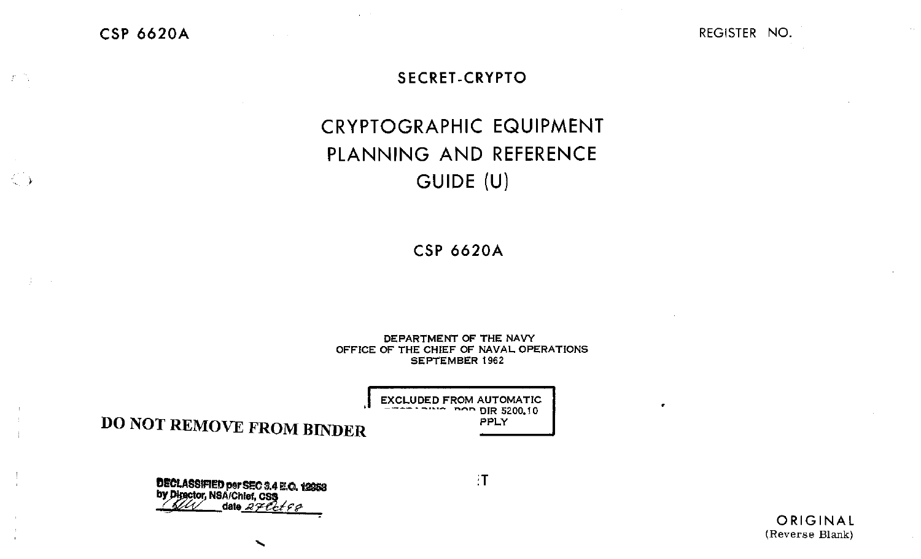**CSP 6620A** 

 $\langle f \rangle/\langle \gamma \rangle$ 

 $\langle \rangle$ 

 $\sim 10^{11}$ 

REGISTER NO.

.

#### **SECRET-CRYPTO**

# **CRYPTOGRAPHIC EQUIPMENT** PLANNING AND REFERENCE GUIDE (U)

**CSP 6620A** 

DEPARTMENT OF THE NAVY OFFICE OF THE CHIEF OF NAVAL OPERATIONS **SEPTEMBER 1962** 

> **EXCLUDED FROM AUTOMATIC** non DIR 5200.10 PPLY

**DO NOT REMOVE FROM BINDER** 

**DECLASSIFIED per SEC 3.4 E.O. 12953**<br>by Director, NSA/Chief, CS**3**<br>Allen date 27 Cct 9 8

 $\mathbf{F}$ 

ORIGINAL (Reverse Blank)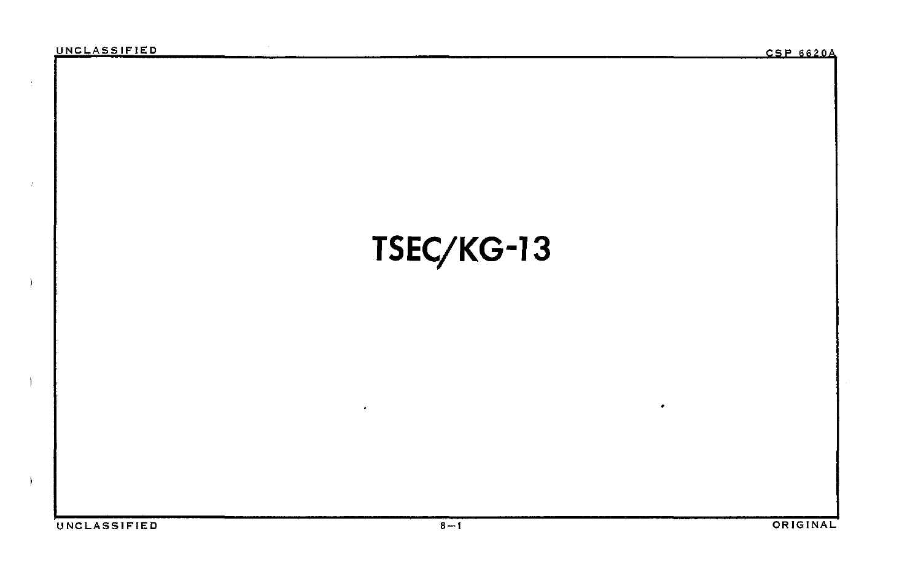$\pm$ 

 $\pm$ 

Ĵ.

# **TSEC/KG-13**

 $\bullet$ 

•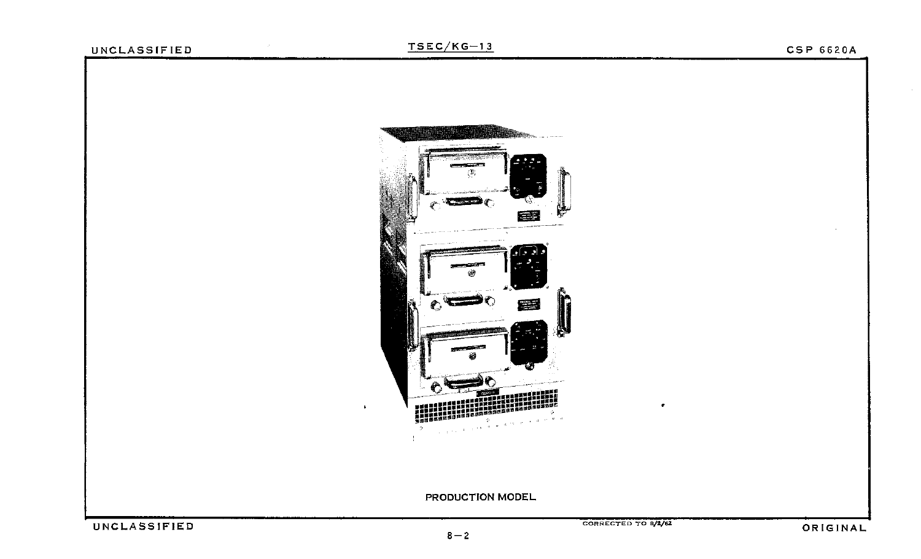## UNCLASS IF IE D  $\frac{TSEC/KG-13}{SEC/KG-13}$

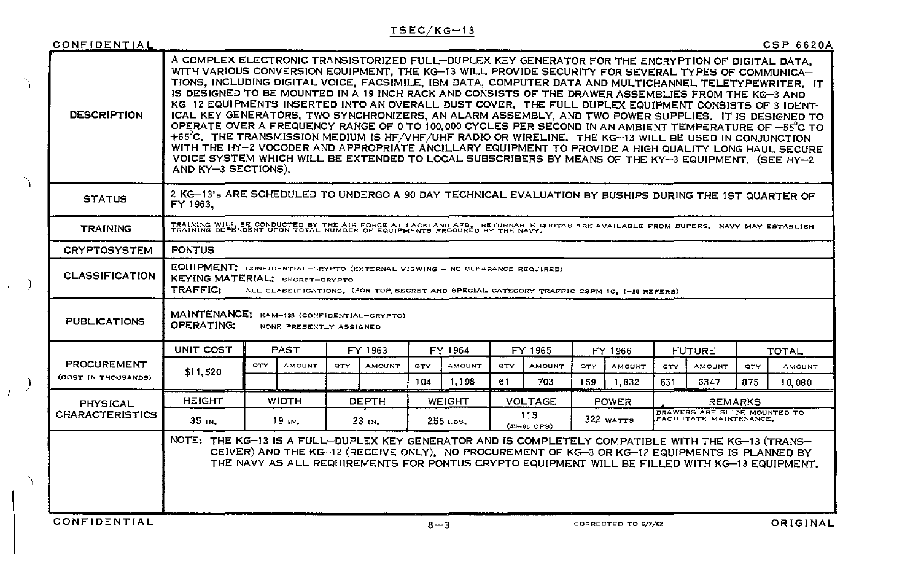## $TSEC/KG-13$

| <b>CSP 6620A</b> |  |  |  |  |  |
|------------------|--|--|--|--|--|
|------------------|--|--|--|--|--|

| CONFIDENTIAL           |                                                                                                                                                                                                                                                                                                                                                                                                                                                                                                                                                                                                                                                                                                                                                                                                                                                                                                                                                                                                                                                                                                              |     |                                                          |            |               |         |               |                |                        |                                                                      |                     |                |               |            | <b>CSP 6620A</b> |
|------------------------|--------------------------------------------------------------------------------------------------------------------------------------------------------------------------------------------------------------------------------------------------------------------------------------------------------------------------------------------------------------------------------------------------------------------------------------------------------------------------------------------------------------------------------------------------------------------------------------------------------------------------------------------------------------------------------------------------------------------------------------------------------------------------------------------------------------------------------------------------------------------------------------------------------------------------------------------------------------------------------------------------------------------------------------------------------------------------------------------------------------|-----|----------------------------------------------------------|------------|---------------|---------|---------------|----------------|------------------------|----------------------------------------------------------------------|---------------------|----------------|---------------|------------|------------------|
| <b>DESCRIPTION</b>     | A COMPLEX ELECTRONIC TRANSISTORIZED FULL-DUPLEX KEY GENERATOR FOR THE ENCRYPTION OF DIGITAL DATA.<br>WITH VARIOUS CONVERSION EQUIPMENT. THE KG-13 WILL PROVIDE SECURITY FOR SEVERAL TYPES OF COMMUNICA-<br>TIONS. INCLUDING DIGITAL VOICE, FACSIMILE, IBM DATA, COMPUTER DATA AND MULTICHANNEL TELETYPEWRITER. IT<br>IS DESIGNED TO BE MOUNTED IN A 19 INCH RACK AND CONSISTS OF THE DRAWER ASSEMBLIES FROM THE KG-3 AND<br>KG-12 EQUIPMENTS INSERTED INTO AN OVERALL DUST COVER. THE FULL DUPLEX EQUIPMENT CONSISTS OF 3 IDENT-<br>ICAL KEY GENERATORS, TWO SYNCHRONIZERS, AN ALARM ASSEMBLY, AND TWO POWER SUPPLIES. IT IS DESIGNED TO<br>OPERATE OVER A FREQUENCY RANGE OF 0 TO 100,000 CYCLES PER SECOND IN AN AMBIENT TEMPERATURE OF -55°C TO<br>$+65^{\circ}$ C. THE TRANSMISSION MEDIUM IS HF/VHF/UHF RADIO OR WIRELINE. THE KG-13 WILL BE USED IN CONJUNCTION<br>WITH THE HY-2 VOCODER AND APPROPRIATE ANCILLARY EQUIPMENT TO PROVIDE A HIGH QUALITY LONG HAUL SECURE<br>VOICE SYSTEM WHICH WILL BE EXTENDED TO LOCAL SUBSCRIBERS BY MEANS OF THE KY-3 EQUIPMENT, (SEE HY-2<br>AND $KY-3$ SECTIONS). |     |                                                          |            |               |         |               |                |                        |                                                                      |                     |                |               |            |                  |
| <b>STATUS</b>          | 2 KG-13's ARE SCHEDULED TO UNDERGO A 90 DAY TECHNICAL EVALUATION BY BUSHIPS DURING THE 1ST QUARTER OF<br>FY 1963.                                                                                                                                                                                                                                                                                                                                                                                                                                                                                                                                                                                                                                                                                                                                                                                                                                                                                                                                                                                            |     |                                                          |            |               |         |               |                |                        |                                                                      |                     |                |               |            |                  |
| <b>TRAINING</b>        | TRAINING WILL BE CONDUCTED BY THE AIR FORCE AT LACKLAND AFB. RETURNABLE QUOTAS ARE AVAILABLE FROM BUPERS. NAVY MAY ESTABLISH<br>TRAINING DEPENDENT UPON TOTAL NUMBER OF EQUIPMENTS PROCURED BY THE NAVY.                                                                                                                                                                                                                                                                                                                                                                                                                                                                                                                                                                                                                                                                                                                                                                                                                                                                                                     |     |                                                          |            |               |         |               |                |                        |                                                                      |                     |                |               |            |                  |
| <b>CRYPTOSYSTEM</b>    | <b>PONTUS</b>                                                                                                                                                                                                                                                                                                                                                                                                                                                                                                                                                                                                                                                                                                                                                                                                                                                                                                                                                                                                                                                                                                |     |                                                          |            |               |         |               |                |                        |                                                                      |                     |                |               |            |                  |
| <b>CLASSIFICATION</b>  | EQUIPMENT: CONFIDENTIAL-CRYPTO (EXTERNAL VIEWING - NO CLEARANCE REQUIRED)<br>KEYING MATERIAL: SECRET-CRYPTO<br>TRAFFIC:<br>ALL CLASSIFICATIONS, (FOR TOP SECRET AND SPECIAL CATEGORY TRAFFIC CSPM IC, 1-50 REFERS)                                                                                                                                                                                                                                                                                                                                                                                                                                                                                                                                                                                                                                                                                                                                                                                                                                                                                           |     |                                                          |            |               |         |               |                |                        |                                                                      |                     |                |               |            |                  |
| <b>PUBLICATIONS</b>    | <b>MAINTENANCE:</b><br><b>OPERATING:</b>                                                                                                                                                                                                                                                                                                                                                                                                                                                                                                                                                                                                                                                                                                                                                                                                                                                                                                                                                                                                                                                                     |     | KAM-138 (CONFIDENTIAL-CRYPTO)<br>NONE PRESENTLY ASSIGNED |            |               |         |               |                |                        |                                                                      |                     |                |               |            |                  |
|                        | UNIT COST                                                                                                                                                                                                                                                                                                                                                                                                                                                                                                                                                                                                                                                                                                                                                                                                                                                                                                                                                                                                                                                                                                    |     | <b>PAST</b>                                              |            | FY 1963       |         | FY 1964       |                | FY 1965                |                                                                      | FY 1966             |                | <b>FUTURE</b> | TOTAL      |                  |
| <b>PROCUREMENT</b>     | \$11,520                                                                                                                                                                                                                                                                                                                                                                                                                                                                                                                                                                                                                                                                                                                                                                                                                                                                                                                                                                                                                                                                                                     | QTY | <b>AMOUNT</b>                                            | <b>QTY</b> | <b>AMOUNT</b> | QTY     | <b>AMOUNT</b> | QTY.           | AMOUNT                 | <b>QTY</b>                                                           | AMOUNT              | $\mathbf{q}$   | <b>AMOUNT</b> | <b>QTY</b> | AMOUNT           |
| (COST IN THOUSANDS)    |                                                                                                                                                                                                                                                                                                                                                                                                                                                                                                                                                                                                                                                                                                                                                                                                                                                                                                                                                                                                                                                                                                              |     |                                                          |            |               | 104     | 1,198         | 61             | 703                    | 159.                                                                 | 1,832               | 551            | 6347          | 875        | 10,080           |
| <b>PHYSICAL</b>        | <b>HEIGHT</b>                                                                                                                                                                                                                                                                                                                                                                                                                                                                                                                                                                                                                                                                                                                                                                                                                                                                                                                                                                                                                                                                                                |     | WIDTH                                                    |            | <b>DEPTH</b>  |         | WEIGHT        | <b>VOLTAGE</b> |                        | POWER                                                                |                     | <b>REMARKS</b> |               |            |                  |
| <b>CHARACTERISTICS</b> | 35 IN.                                                                                                                                                                                                                                                                                                                                                                                                                                                                                                                                                                                                                                                                                                                                                                                                                                                                                                                                                                                                                                                                                                       |     | $19$ in.                                                 |            | 23 IN.        |         | 255 LBS.      |                | 115<br>$(45 - 65$ CPS) | DRAWERS ARE SLIDE MOUNTED TO<br>322 WATTS<br>FACILITATE MAINTENANCE. |                     |                |               |            |                  |
|                        | NOTE: THE KG-13 IS A FULL-DUPLEX KEY GENERATOR AND IS COMPLETELY COMPATIBLE WITH THE KG-13 (TRANS-<br>CEIVER) AND THE KG-12 (RECEIVE ONLY). NO PROCUREMENT OF KG-3 OR KG-12 EQUIPMENTS IS PLANNED BY<br>THE NAVY AS ALL REQUIREMENTS FOR PONTUS CRYPTO EQUIPMENT WILL BE FILLED WITH KG-13 EQUIPMENT.                                                                                                                                                                                                                                                                                                                                                                                                                                                                                                                                                                                                                                                                                                                                                                                                        |     |                                                          |            |               |         |               |                |                        |                                                                      |                     |                |               |            |                  |
| CONFIDENTIAL           |                                                                                                                                                                                                                                                                                                                                                                                                                                                                                                                                                                                                                                                                                                                                                                                                                                                                                                                                                                                                                                                                                                              |     |                                                          |            |               | $8 - 3$ |               |                |                        |                                                                      | CORRECTED TO 6/7/62 |                |               |            | ORIGINAL         |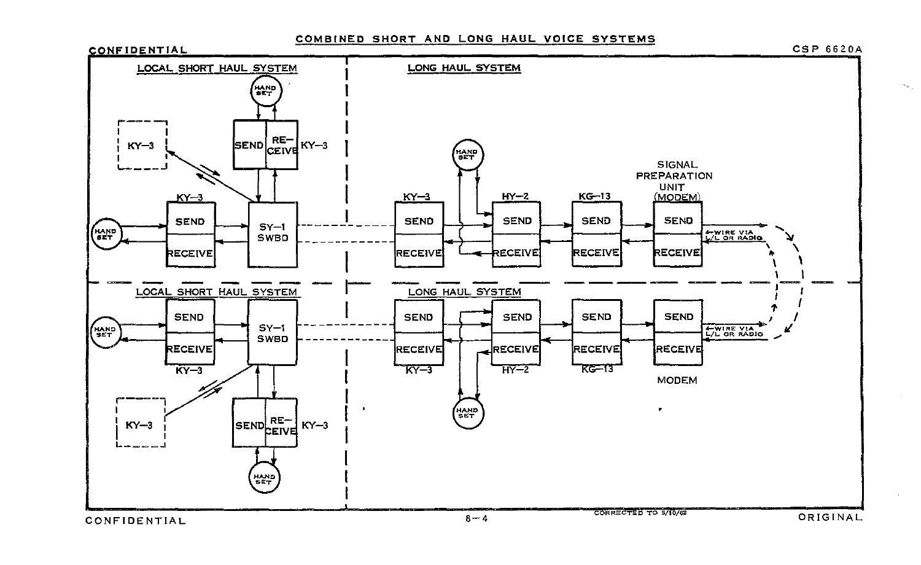#### COMBINED SHORT AND LONG HAUL VOICE SYSTEMS

**CSP 6620A** 

 $\sim$   $_{\odot}$ 

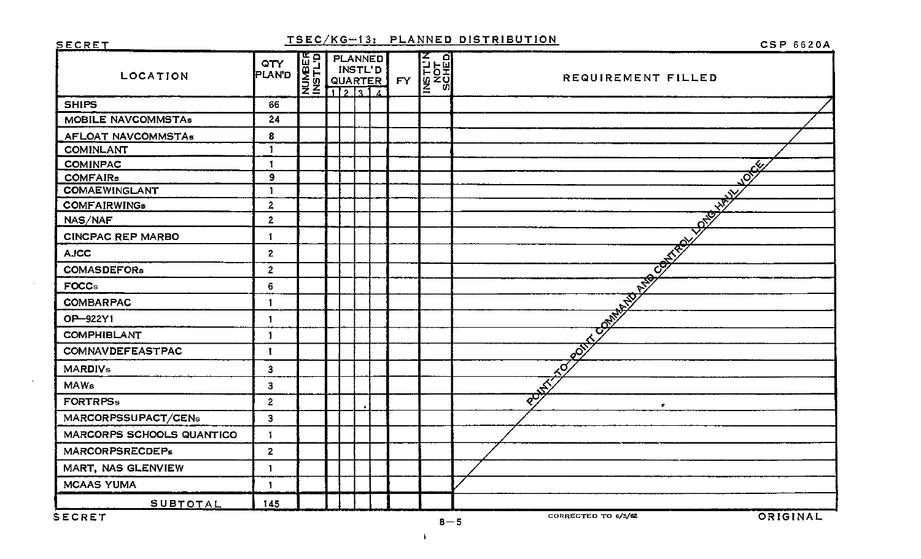**SECRET** 

#### TSEC/KG-13: PLANNED DISTRIBUTION

**CSP 6620A** 

| LOCATION                  | QTY<br>PLAND     | E O PLANNED<br>A CH INSTL'D<br>SE QUARTER<br>Z 12314 |  | QUARTER | <b>FY</b> | INSTL'N<br>NSTL'N<br>SCHED | REQUIREMENT FILLED                     |
|---------------------------|------------------|------------------------------------------------------|--|---------|-----------|----------------------------|----------------------------------------|
| <b>SHIPS</b>              | 66               |                                                      |  |         |           |                            |                                        |
| MOBILE NAVCOMMSTAs        | 24               |                                                      |  |         |           |                            |                                        |
| <b>AFLOAT NAVCOMMSTAs</b> | 8                |                                                      |  |         |           |                            |                                        |
| <b>COMINLANT</b>          | $\mathbf{1}$     |                                                      |  |         |           |                            |                                        |
| <b>COMINPAC</b>           | $\mathbf{I}$     |                                                      |  |         |           |                            | $\mathbf{r}$                           |
| <b>COMFAIRs</b>           | $\boldsymbol{9}$ |                                                      |  |         |           |                            | $\overline{\mathcal{O}}$               |
| <b>COMAEWINGLANT</b>      | $\mathbf{1}$     |                                                      |  |         |           |                            | Ń.                                     |
| <b>COMFAIRWINGs</b>       | $\overline{2}$   |                                                      |  |         |           |                            | $\overrightarrow{\mathcal{S}}$         |
| NAS/NAF                   | $\overline{2}$   |                                                      |  |         |           |                            | $\frac{1}{2}$                          |
| <b>CINCPAC REP MARBO</b>  | $\mathbf{1}$     |                                                      |  |         |           |                            |                                        |
| <b>AJCC</b>               | $\overline{2}$   |                                                      |  |         |           |                            | <b>CONTRACT</b>                        |
| <b>COMASDEFORs</b>        | $\overline{2}$   |                                                      |  |         |           |                            |                                        |
| <b>FOCCs</b>              | 6                |                                                      |  |         |           |                            | <b>250</b>                             |
| <b>COMBARPAC</b>          | $\mathbf{1}$     |                                                      |  |         |           |                            | <b>COMMENT</b>                         |
| OP-922Y1                  | $\mathbf{1}$     |                                                      |  |         |           |                            |                                        |
| <b>COMPHIBLANT</b>        | $\mathbf{1}$     |                                                      |  |         |           |                            |                                        |
| <b>COMNAVDEFEASTPAC</b>   | $\mathbf{I}$     |                                                      |  |         |           |                            | $\mathcal{E}^{\overline{\mathcal{S}}}$ |
| <b>MARDIVs</b>            | $\mathbf 3$      |                                                      |  |         |           |                            | $\mathbb{R}^{\widetilde{\mathsf{C}}}$  |
| MAWs                      | 3                |                                                      |  |         |           |                            |                                        |
| <b>FORTRPSs</b>           | $\mathbf{2}$     |                                                      |  |         |           |                            | $\vec{z}^{\text{ob}}$<br>$\bullet$     |
| MARCORPSSUPACT/CENs       | 3                |                                                      |  |         |           |                            |                                        |
| MARCORPS SCHOOLS QUANTICO | $\mathbf{I}$     |                                                      |  |         |           |                            |                                        |
| <b>MARCORPSRECDEPs</b>    | $\mathbf{2}$     |                                                      |  |         |           |                            |                                        |
| MART, NAS GLENVIEW        | $\mathbf{1}$     |                                                      |  |         |           |                            |                                        |
| <b>MCAAS YUMA</b>         | $\mathbf{1}$     |                                                      |  |         |           |                            |                                        |
| SUBTOTAL                  | 145              |                                                      |  |         |           |                            |                                        |
| SECRET                    |                  |                                                      |  |         |           | $\sim$ $\sim$              | ORIGINAL<br>CORRECTED TO 6/5/62        |

 $\sim 10^{-1}$ 

 $\mathbf{I}$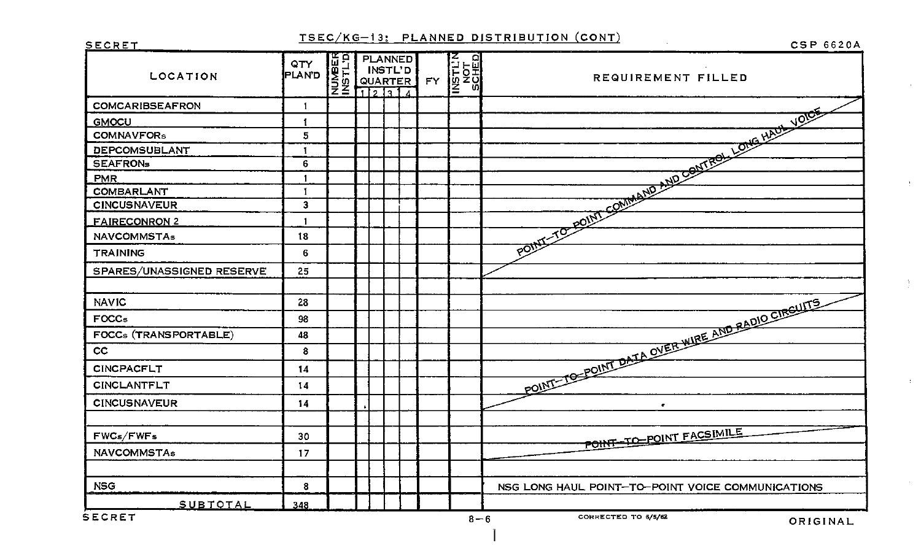## TSEC/KG-13: PLANNED DISTRIBUTION (CONT)

CSP 6620A

 $\mathbf{r}$ 

 $\mathcal{X}$ 

 $\chi$ 

 $\sim 10^{-5}$ 

| <b>SECRET</b>             |                 |                                                         |         |           |                            | TOLOGIC, TU, TEAMNED DISTRIBUTION (COMT)<br><b>CSP 6620A</b> |
|---------------------------|-----------------|---------------------------------------------------------|---------|-----------|----------------------------|--------------------------------------------------------------|
| <b>LOCATION</b>           | QTY<br>PLAND    | E O PLANNED<br>B L INSTL'D<br>S MOUARTER<br>Z E 1121314 | QUARTER | <b>FY</b> | INSTL'N<br>NSTL'N<br>SCHED | REQUIREMENT FILLED                                           |
| <b>COMCARIBSEAFRON</b>    | $\mathbf{I}$    |                                                         |         |           |                            |                                                              |
| <b>GMOCU</b>              | 1               |                                                         |         |           |                            |                                                              |
| <b>COMNAVFORs</b>         | 5               |                                                         |         |           |                            |                                                              |
| DEPCOMSUBLANT             | 1               |                                                         |         |           |                            |                                                              |
| <b>SEAFRONs</b>           | 6               |                                                         |         |           |                            |                                                              |
| <b>PMR</b>                |                 |                                                         |         |           |                            |                                                              |
| <b>COMBARLANT</b>         | $\mathbf{I}$    |                                                         |         |           |                            |                                                              |
| <b>CINCUSNAVEUR</b>       | 3               |                                                         |         |           |                            |                                                              |
| <u>FAIRECONRON 2</u>      | 1               |                                                         |         |           |                            |                                                              |
| <b>NAVCOMMSTAs</b>        | 18              |                                                         |         |           |                            |                                                              |
| <b>TRAINING</b>           | 6               |                                                         |         |           |                            | POINT-TO-POINT COMMAND AND CONTROL LONG HAUL VOICE           |
| SPARES/UNASSIGNED RESERVE | 25 <sub>1</sub> |                                                         |         |           |                            |                                                              |
| <b>NAVIC</b>              | 28              |                                                         |         |           |                            | POINT-TO-POINT DATA OVER WIRE AND RADIO CIRCUITS             |
| FOCC <sub>5</sub>         | 98              |                                                         |         |           |                            |                                                              |
| FOCCs (TRANSPORTABLE)     | 48              |                                                         |         |           |                            |                                                              |
| cc                        | 8               |                                                         |         |           |                            |                                                              |
| <b>CINCPACFLT</b>         | 14              |                                                         |         |           |                            |                                                              |
| <b>CINCLANTFL.T</b>       | 14              |                                                         |         |           |                            |                                                              |
| <b>CINCUSNAVEUR</b>       | 14              |                                                         |         |           |                            | $\bullet$                                                    |
| FWCs/FWFs                 | 30              |                                                         |         |           |                            | POINT-TO-POINT FACSIMILE                                     |
| <b>NAVCOMMSTAs</b>        |                 |                                                         |         |           |                            |                                                              |
|                           | 17              |                                                         |         |           |                            |                                                              |
| <b>NSG</b>                | 8               |                                                         |         |           |                            | NSG LONG HAUL POINT-TO-POINT VOICE COMMUNICATIONS            |
| SUBTOTAL                  | 348             |                                                         |         |           |                            |                                                              |
| SECRET                    |                 |                                                         |         |           |                            | CORRECTED TO 5/5/62<br>$R - 6$<br>$\sum_{i=1}^{n}$           |

**SECRET**